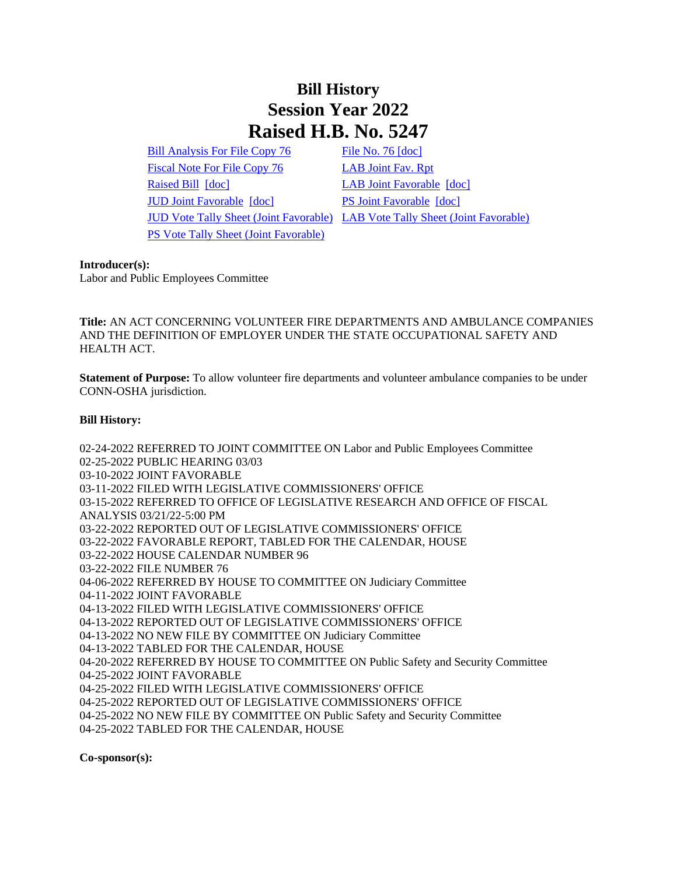## **Bill History Session Year 2022 Raised H.B. No. 5247**

[Bill Analysis For File Copy 76](/2022/BA/PDF/2022HB-05247-R000076-BA.PDF) [File No. 76](/2022/FC/PDF/2022HB-05247-R000076-FC.PDF) [\[doc\]](https://search.cga.state.ct.us/dl2022/fc/doc/2022HB-05247-R000076-FC.docx) [Fiscal Note For File Copy 76](/2022/FN/PDF/2022HB-05247-R000076-FN.PDF) [LAB Joint Fav. Rpt](/2022/JFR/H/PDF/2022HB-05247-R00LAB-JFR.PDF) [Raised Bill](/2022/TOB/H/PDF/2022HB-05247-R00-HB.PDF) [\[doc\]](https://search.cga.state.ct.us/dl2022/TOB/DOC/2022HB-05247-R01-HB.DOCX) [LAB Joint Favorable](/2022/TOB/H/PDF/2022HB-05247-R01-HB.PDF) [doc] [JUD Joint Favorable](/2022/TOB/H/PDF/2022HB-05247-R02-HB.PDF) [\[doc\]](https://search.cga.state.ct.us/dl2022/TOB/DOC/2022HB-05247-R02-HB.DOCX) [PS Joint Favorable](/2022/TOB/H/PDF/2022HB-05247-R03-HB.PDF) [\[doc\]](https://search.cga.state.ct.us/dl2022/TOB/DOC/2022HB-05247-R03-HB.DOCX) [PS Vote Tally Sheet \(Joint Favorable\)](/2022/TS/H/PDF/2022HB-05247-R00PS-CV74-TS.PDF)

JUD Vote Tally [Sheet \(Joint Favorable\)](/2022/TS/H/PDF/2022HB-05247-R00JUD-CV127-TS.PDF) [LAB Vote Tally Sheet \(Joint Favorable\)](/2022/TS/H/PDF/2022HB-05247-R00LAB-CV47-TS.PDF)

**Introducer(s):**

Labor and Public Employees Committee

**Title:** AN ACT CONCERNING VOLUNTEER FIRE DEPARTMENTS AND AMBULANCE COMPANIES AND THE DEFINITION OF EMPLOYER UNDER THE STATE OCCUPATIONAL SAFETY AND HEALTH ACT.

**Statement of Purpose:** To allow volunteer fire departments and volunteer ambulance companies to be under CONN-OSHA jurisdiction.

## **Bill History:**

02-24-2022 REFERRED TO JOINT COMMITTEE ON Labor and Public Employees Committee 02-25-2022 PUBLIC HEARING 03/03 03-10-2022 JOINT FAVORABLE 03-11-2022 FILED WITH LEGISLATIVE COMMISSIONERS' OFFICE 03-15-2022 REFERRED TO OFFICE OF LEGISLATIVE RESEARCH AND OFFICE OF FISCAL ANALYSIS 03/21/22-5:00 PM 03-22-2022 REPORTED OUT OF LEGISLATIVE COMMISSIONERS' OFFICE 03-22-2022 FAVORABLE REPORT, TABLED FOR THE CALENDAR, HOUSE 03-22-2022 HOUSE CALENDAR NUMBER 96 03-22-2022 FILE NUMBER 76 04-06-2022 REFERRED BY HOUSE TO COMMITTEE ON Judiciary Committee 04-11-2022 JOINT FAVORABLE 04-13-2022 FILED WITH LEGISLATIVE COMMISSIONERS' OFFICE 04-13-2022 REPORTED OUT OF LEGISLATIVE COMMISSIONERS' OFFICE 04-13-2022 NO NEW FILE BY COMMITTEE ON Judiciary Committee 04-13-2022 TABLED FOR THE CALENDAR, HOUSE 04-20-2022 REFERRED BY HOUSE TO COMMITTEE ON Public Safety and Security Committee 04-25-2022 JOINT FAVORABLE 04-25-2022 FILED WITH LEGISLATIVE COMMISSIONERS' OFFICE 04-25-2022 REPORTED OUT OF LEGISLATIVE COMMISSIONERS' OFFICE 04-25-2022 NO NEW FILE BY COMMITTEE ON Public Safety and Security Committee 04-25-2022 TABLED FOR THE CALENDAR, HOUSE

**Co-sponsor(s):**